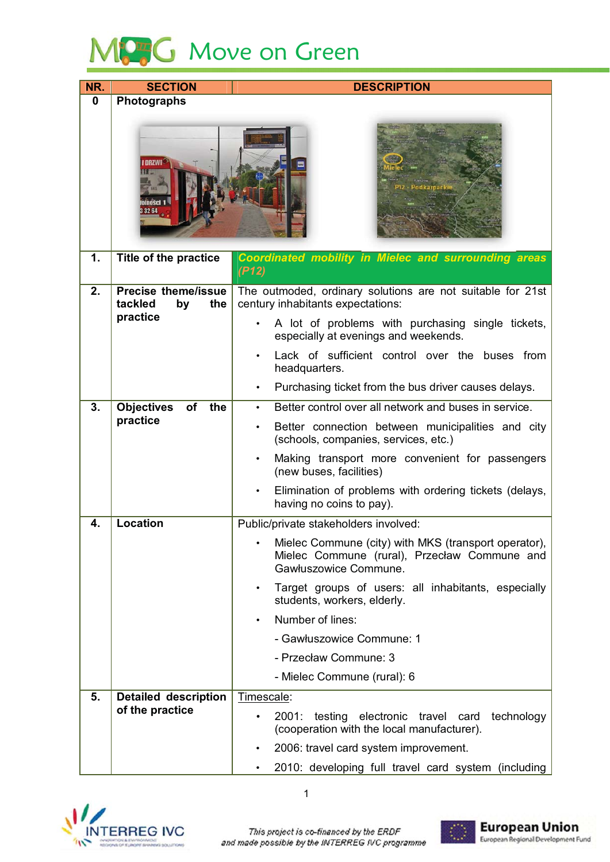

| NR.         | <b>SECTION</b>                                     | <b>DESCRIPTION</b>                                                                                                                         |
|-------------|----------------------------------------------------|--------------------------------------------------------------------------------------------------------------------------------------------|
| $\mathbf 0$ | Photographs                                        |                                                                                                                                            |
|             | 32 64                                              | odkaroac                                                                                                                                   |
| 1.          | Title of the practice                              | <b>Coordinated mobility in Mielec and surrounding areas</b><br>(P12)                                                                       |
| 2.          | <b>Precise theme/issue</b><br>tackled<br>by<br>the | The outmoded, ordinary solutions are not suitable for 21st<br>century inhabitants expectations:                                            |
|             | practice                                           | A lot of problems with purchasing single tickets,<br>especially at evenings and weekends.                                                  |
|             |                                                    | Lack of sufficient control over the buses from<br>headquarters.                                                                            |
|             |                                                    | Purchasing ticket from the bus driver causes delays.                                                                                       |
| 3.          | <b>Objectives</b><br>of<br>the                     | Better control over all network and buses in service.<br>$\bullet$                                                                         |
|             | practice                                           | Better connection between municipalities and city<br>(schools, companies, services, etc.)                                                  |
|             |                                                    | Making transport more convenient for passengers<br>(new buses, facilities)                                                                 |
|             |                                                    | Elimination of problems with ordering tickets (delays,<br>having no coins to pay).                                                         |
| 4.          | Location                                           | Public/private stakeholders involved:                                                                                                      |
|             |                                                    | Mielec Commune (city) with MKS (transport operator),<br>$\bullet$<br>Mielec Commune (rural), Przecław Commune and<br>Gawłuszowice Commune. |
|             |                                                    | Target groups of users: all inhabitants, especially<br>$\bullet$<br>students, workers, elderly.                                            |
|             |                                                    | Number of lines:                                                                                                                           |
|             |                                                    | - Gawłuszowice Commune: 1                                                                                                                  |
|             |                                                    | - Przecław Commune: 3                                                                                                                      |
|             |                                                    | - Mielec Commune (rural): 6                                                                                                                |
| 5.          | <b>Detailed description</b>                        | Timescale:                                                                                                                                 |
|             | of the practice                                    | testing electronic travel card<br>technology<br>2001:<br>(cooperation with the local manufacturer).                                        |
|             |                                                    | 2006: travel card system improvement.                                                                                                      |
|             |                                                    | 2010: developing full travel card system (including                                                                                        |



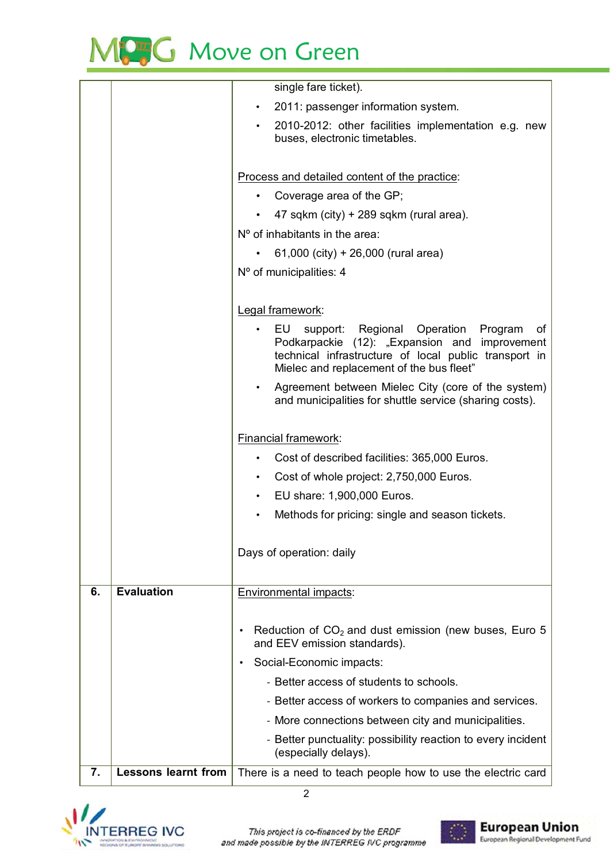

|    |                            | single fare ticket).                                                                                                                                                                                        |
|----|----------------------------|-------------------------------------------------------------------------------------------------------------------------------------------------------------------------------------------------------------|
|    |                            | 2011: passenger information system.                                                                                                                                                                         |
|    |                            | 2010-2012: other facilities implementation e.g. new<br>buses, electronic timetables.                                                                                                                        |
|    |                            | Process and detailed content of the practice:                                                                                                                                                               |
|    |                            | Coverage area of the GP;                                                                                                                                                                                    |
|    |                            | 47 sqkm (city) + 289 sqkm (rural area).                                                                                                                                                                     |
|    |                            | $No$ of inhabitants in the area:                                                                                                                                                                            |
|    |                            | 61,000 (city) + 26,000 (rural area)                                                                                                                                                                         |
|    |                            | Nº of municipalities: 4                                                                                                                                                                                     |
|    |                            | Legal framework:                                                                                                                                                                                            |
|    |                            | support: Regional Operation<br>EU<br>Program<br>οf<br>Podkarpackie (12): "Expansion and<br>improvement<br>technical infrastructure of local public transport in<br>Mielec and replacement of the bus fleet" |
|    |                            | Agreement between Mielec City (core of the system)<br>and municipalities for shuttle service (sharing costs).                                                                                               |
|    |                            | <b>Financial framework:</b>                                                                                                                                                                                 |
|    |                            | Cost of described facilities: 365,000 Euros.                                                                                                                                                                |
|    |                            | Cost of whole project: 2,750,000 Euros.<br>$\bullet$                                                                                                                                                        |
|    |                            | EU share: 1,900,000 Euros.<br>$\bullet$                                                                                                                                                                     |
|    |                            | Methods for pricing: single and season tickets.                                                                                                                                                             |
|    |                            | Days of operation: daily                                                                                                                                                                                    |
| 6. | <b>Evaluation</b>          | <b>Environmental impacts:</b>                                                                                                                                                                               |
|    |                            | Reduction of $CO2$ and dust emission (new buses, Euro 5<br>$\bullet$<br>and EEV emission standards).                                                                                                        |
|    |                            | Social-Economic impacts:<br>$\bullet$                                                                                                                                                                       |
|    |                            | - Better access of students to schools.                                                                                                                                                                     |
|    |                            | - Better access of workers to companies and services.                                                                                                                                                       |
|    |                            | - More connections between city and municipalities.                                                                                                                                                         |
|    |                            | - Better punctuality: possibility reaction to every incident<br>(especially delays).                                                                                                                        |
| 7. | <b>Lessons learnt from</b> | There is a need to teach people how to use the electric card                                                                                                                                                |
|    |                            | $\overline{2}$                                                                                                                                                                                              |